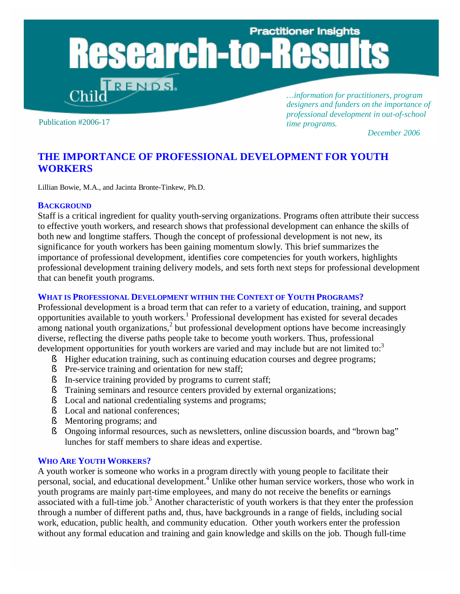# **Practitioner Insights search-to TRENDS**

Publication #2006-17

*…information for practitioners, program designers and funders on the importance of professional development in out-of-school time programs.*

 *December 2006*

# **THE IMPORTANCE OF PROFESSIONAL DEVELOPMENT FOR YOUTH WORKERS**

Lillian Bowie, M.A., and Jacinta Bronte-Tinkew, Ph.D.

#### **BACKGROUND**

Staff is a critical ingredient for quality youth-serving organizations. Programs often attribute their success to effective youth workers, and research shows that professional development can enhance the skills of both new and longtime staffers. Though the concept of professional development is not new, its significance for youth workers has been gaining momentum slowly. This brief summarizes the importance of professional development, identifies core competencies for youth workers, highlights professional development training delivery models, and sets forth next steps for professional development that can benefit youth programs.

#### **WHAT IS PROFESSIONAL DEVELOPMENT WITHIN THE CONTEXT OF YOUTH PROGRAMS?**

Professional development is a broad term that can refer to a variety of education, training, and support opportunities available to youth workers.<sup>1</sup> Professional development has existed for several decades among national youth organizations,<sup>2</sup> but professional development options have become increasingly diverse, reflecting the diverse paths people take to become youth workers. Thus, professional development opportunities for youth workers are varied and may include but are not limited to:<sup>3</sup>

- § Higher education training, such as continuing education courses and degree programs;
- § Pre-service training and orientation for new staff;
- § In-service training provided by programs to current staff;
- § Training seminars and resource centers provided by external organizations;
- § Local and national credentialing systems and programs;<br>§ Local and national conferences;
- Local and national conferences:
- § Mentoring programs; and
- § Ongoing informal resources, such as newsletters, online discussion boards, and "brown bag" lunches for staff members to share ideas and expertise.

### **WHO ARE YOUTH WORKERS?**

A youth worker is someone who works in a program directly with young people to facilitate their personal, social, and educational development.<sup>4</sup> Unlike other human service workers, those who work in youth programs are mainly part-time employees, and many do not receive the benefits or earnings associated with a full-time job.<sup>5</sup> Another characteristic of youth workers is that they enter the profession through a number of different paths and, thus, have backgrounds in a range of fields, including social work, education, public health, and community education. Other youth workers enter the profession without any formal education and training and gain knowledge and skills on the job. Though full-time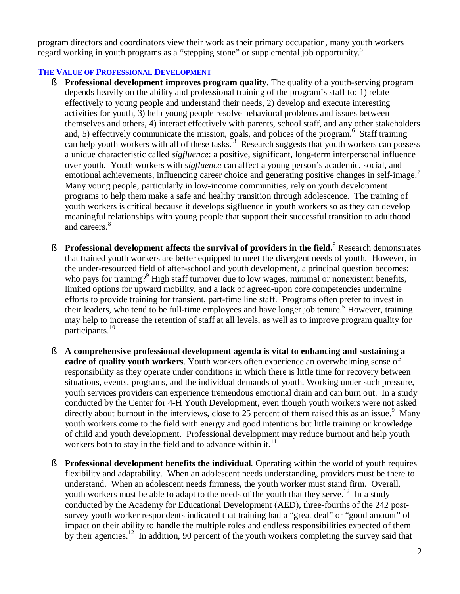program directors and coordinators view their work as their primary occupation, many youth workers regard working in youth programs as a "stepping stone" or supplemental job opportunity.<sup>5</sup>

## **THE VALUE OF PROFESSIONAL DEVELOPMENT**

- § **Professional development improves program quality.** The quality of a youth-serving program depends heavily on the ability and professional training of the program's staff to: 1) relate effectively to young people and understand their needs, 2) develop and execute interesting activities for youth, 3) help young people resolve behavioral problems and issues between themselves and others, 4) interact effectively with parents, school staff, and any other stakeholders and, 5) effectively communicate the mission, goals, and polices of the program.<sup>6</sup> Staff training can help youth workers with all of these tasks.<sup>3</sup> Research suggests that youth workers can possess a unique characteristic called *sigfluence*: a positive, significant, long-term interpersonal influence over youth. Youth workers with *sigfluence* can affect a young person's academic, social, and emotional achievements, influencing career choice and generating positive changes in self-image.<sup>7</sup> Many young people, particularly in low-income communities, rely on youth development programs to help them make a safe and healthy transition through adolescence. The training of youth workers is critical because it develops sigfluence in youth workers so as they can develop meaningful relationships with young people that support their successful transition to adulthood and careers.<sup>8</sup>
- § **Professional development affects the survival of providers in the field.**<sup>9</sup> Research demonstrates that trained youth workers are better equipped to meet the divergent needs of youth. However, in the under-resourced field of after-school and youth development, a principal question becomes: who pays for training?<sup>9</sup> High staff turnover due to low wages, minimal or nonexistent benefits, limited options for upward mobility, and a lack of agreed-upon core competencies undermine efforts to provide training for transient, part-time line staff. Programs often prefer to invest in their leaders, who tend to be full-time employees and have longer job tenure.<sup>5</sup> However, training may help to increase the retention of staff at all levels, as well as to improve program quality for participants.<sup>10</sup>
- § **A comprehensive professional development agenda is vital to enhancing and sustaining a cadre of quality youth workers**. Youth workers often experience an overwhelming sense of responsibility as they operate under conditions in which there is little time for recovery between situations, events, programs, and the individual demands of youth. Working under such pressure, youth services providers can experience tremendous emotional drain and can burn out. In a study conducted by the Center for 4-H Youth Development, even though youth workers were not asked directly about burnout in the interviews, close to 25 percent of them raised this as an issue.<sup>9</sup> Many youth workers come to the field with energy and good intentions but little training or knowledge of child and youth development. Professional development may reduce burnout and help youth workers both to stay in the field and to advance within it. $<sup>11</sup>$ </sup>
- § **Professional development benefits the individual***.* Operating within the world of youth requires flexibility and adaptability. When an adolescent needs understanding, providers must be there to understand. When an adolescent needs firmness, the youth worker must stand firm. Overall, youth workers must be able to adapt to the needs of the youth that they serve.<sup>12</sup> In a study conducted by the Academy for Educational Development (AED), three-fourths of the 242 postsurvey youth worker respondents indicated that training had a "great deal" or "good amount" of impact on their ability to handle the multiple roles and endless responsibilities expected of them by their agencies.<sup>12</sup> In addition, 90 percent of the youth workers completing the survey said that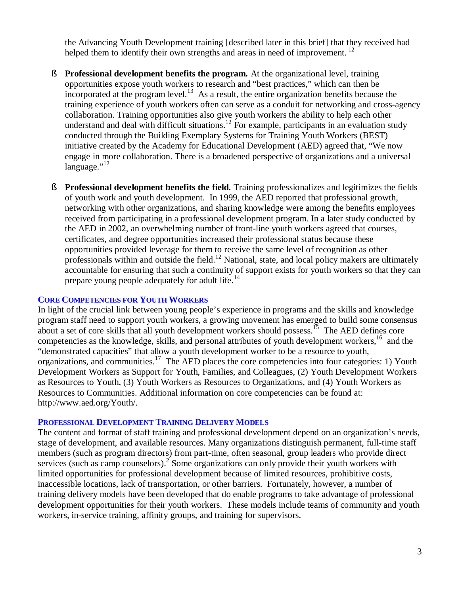the Advancing Youth Development training [described later in this brief] that they received had helped them to identify their own strengths and areas in need of improvement.<sup>12</sup>

- § **Professional development benefits the program***.* At the organizational level, training opportunities expose youth workers to research and "best practices," which can then be incorporated at the program level.<sup>13</sup> As a result, the entire organization benefits because the training experience of youth workers often can serve as a conduit for networking and cross-agency collaboration. Training opportunities also give youth workers the ability to help each other understand and deal with difficult situations.<sup>12</sup> For example, participants in an evaluation study conducted through the Building Exemplary Systems for Training Youth Workers (BEST) initiative created by the Academy for Educational Development (AED) agreed that, "We now engage in more collaboration. There is a broadened perspective of organizations and a universal  $language."$ <sup>12</sup>
- § **Professional development benefits the field***.* Training professionalizes and legitimizes the fields of youth work and youth development. In 1999, the AED reported that professional growth, networking with other organizations, and sharing knowledge were among the benefits employees received from participating in a professional development program. In a later study conducted by the AED in 2002, an overwhelming number of front-line youth workers agreed that courses, certificates, and degree opportunities increased their professional status because these opportunities provided leverage for them to receive the same level of recognition as other professionals within and outside the field.<sup>12</sup> National, state, and local policy makers are ultimately accountable for ensuring that such a continuity of support exists for youth workers so that they can prepare young people adequately for adult life.<sup>14</sup>

#### **CORE COMPETENCIES FOR YOUTH WORKERS**

In light of the crucial link between young people's experience in programs and the skills and knowledge program staff need to support youth workers, a growing movement has emerged to build some consensus about a set of core skills that all youth development workers should possess.<sup>15</sup> The AED defines core competencies as the knowledge, skills, and personal attributes of youth development workers,<sup>16</sup> and the "demonstrated capacities" that allow a youth development worker to be a resource to youth, organizations, and communities.<sup>17</sup> The AED places the core competencies into four categories: 1) Youth Development Workers as Support for Youth, Families, and Colleagues, (2) Youth Development Workers as Resources to Youth, (3) Youth Workers as Resources to Organizations, and (4) Youth Workers as Resources to Communities. Additional information on core competencies can be found at: <http://www.aed.org/Youth/.>

#### **PROFESSIONAL DEVELOPMENT TRAINING DELIVERY MODELS**

The content and format of staff training and professional development depend on an organization's needs, stage of development, and available resources. Many organizations distinguish permanent, full-time staff members (such as program directors) from part-time, often seasonal, group leaders who provide direct services (such as camp counselors).<sup>2</sup> Some organizations can only provide their youth workers with limited opportunities for professional development because of limited resources, prohibitive costs, inaccessible locations, lack of transportation, or other barriers. Fortunately, however, a number of training delivery models have been developed that do enable programs to take advantage of professional development opportunities for their youth workers. These models include teams of community and youth workers, in-service training, affinity groups, and training for supervisors.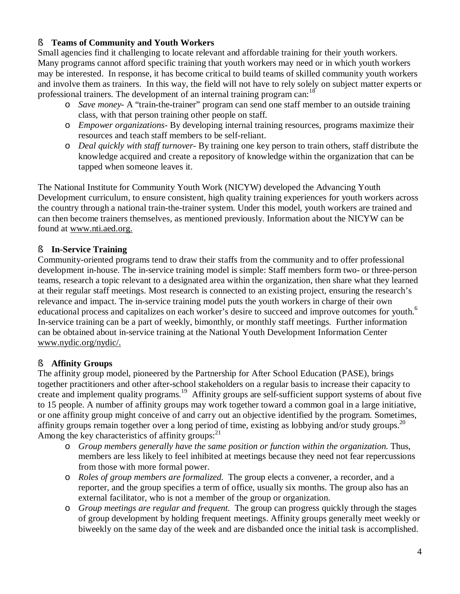## § **Teams of Community and Youth Workers**

Small agencies find it challenging to locate relevant and affordable training for their youth workers. Many programs cannot afford specific training that youth workers may need or in which youth workers may be interested. In response, it has become critical to build teams of skilled community youth workers and involve them as trainers. In this way, the field will not have to rely solely on subject matter experts or professional trainers. The development of an internal training program can:<sup>18</sup>

- o *Save money-* A "train-the-trainer" program can send one staff member to an outside training class, with that person training other people on staff.
- o *Empower organizations-* By developing internal training resources, programs maximize their resources and teach staff members to be self-reliant.
- o *Deal quickly with staff turnover-* By training one key person to train others, staff distribute the knowledge acquired and create a repository of knowledge within the organization that can be tapped when someone leaves it.

The National Institute for Community Youth Work (NICYW) developed the Advancing Youth Development curriculum, to ensure consistent, high quality training experiences for youth workers across the country through a national train-the-trainer system. Under this model, youth workers are trained and can then become trainers themselves, as mentioned previously. Information about the NICYW can be found at [www.nti.aed.org.](http://www.nti.aed.org.)

# § **In-Service Training**

Community-oriented programs tend to draw their staffs from the community and to offer professional development in-house. The in-service training model is simple: Staff members form two- or three-person teams, research a topic relevant to a designated area within the organization, then share what they learned at their regular staff meetings. Most research is connected to an existing project, ensuring the research's relevance and impact. The in-service training model puts the youth workers in charge of their own educational process and capitalizes on each worker's desire to succeed and improve outcomes for youth.<sup>6</sup> In-service training can be a part of weekly, bimonthly, or monthly staff meetings. Further information can be obtained about in-service training at the National Youth Development Information Center [www.nydic.org/nydic/.](http://www.nydic.org/nydic/.)

# § **Affinity Groups**

The affinity group model, pioneered by the Partnership for After School Education (PASE), brings together practitioners and other after-school stakeholders on a regular basis to increase their capacity to create and implement quality programs.<sup>19</sup> Affinity groups are self-sufficient support systems of about five to 15 people. A number of affinity groups may work together toward a common goal in a large initiative, or one affinity group might conceive of and carry out an objective identified by the program. Sometimes, affinity groups remain together over a long period of time, existing as lobbying and/or study groups.<sup>20</sup> Among the key characteristics of affinity groups: $^{21}$ 

- o *Group members generally have the same position or function within the organization.* Thus, members are less likely to feel inhibited at meetings because they need not fear repercussions from those with more formal power.
- o *Roles of group members are formalized.* The group elects a convener, a recorder, and a reporter, and the group specifies a term of office, usually six months. The group also has an external facilitator, who is not a member of the group or organization.
- o *Group meetings are regular and frequent.* The group can progress quickly through the stages of group development by holding frequent meetings. Affinity groups generally meet weekly or biweekly on the same day of the week and are disbanded once the initial task is accomplished.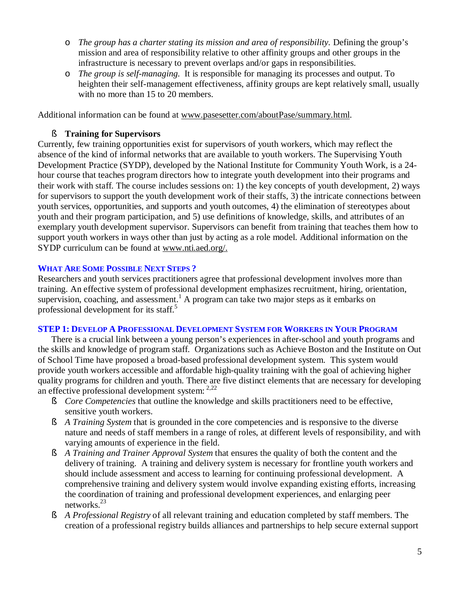- o *The group has a charter stating its mission and area of responsibility.* Defining the group's mission and area of responsibility relative to other affinity groups and other groups in the infrastructure is necessary to prevent overlaps and/or gaps in responsibilities.
- o *The group is self-managing.* It is responsible for managing its processes and output. To heighten their self-management effectiveness, affinity groups are kept relatively small, usually with no more than 15 to 20 members.

Additional information can be found at [www.pasesetter.com/aboutPase/summary.html.](http://www.pasesetter.com/aboutPase/summary.html)

## § **Training for Supervisors**

Currently, few training opportunities exist for supervisors of youth workers, which may reflect the absence of the kind of informal networks that are available to youth workers. The Supervising Youth Development Practice (SYDP), developed by the National Institute for Community Youth Work, is a 24 hour course that teaches program directors how to integrate youth development into their programs and their work with staff. The course includes sessions on: 1) the key concepts of youth development, 2) ways for supervisors to support the youth development work of their staffs, 3) the intricate connections between youth services, opportunities, and supports and youth outcomes, 4) the elimination of stereotypes about youth and their program participation, and 5) use definitions of knowledge, skills, and attributes of an exemplary youth development supervisor. Supervisors can benefit from training that teaches them how to support youth workers in ways other than just by acting as a role model. Additional information on the SYDP curriculum can be found at [www.nti.aed.org/.](http://www.nti.aed.org/.)

## **WHAT ARE SOME POSSIBLE NEXT STEPS ?**

Researchers and youth services practitioners agree that professional development involves more than training. An effective system of professional development emphasizes recruitment, hiring, orientation, supervision, coaching, and assessment.<sup>1</sup> A program can take two major steps as it embarks on professional development for its staff.<sup>5</sup>

## **STEP 1: DEVELOP A PROFESSIONAL DEVELOPMENT SYSTEM FOR WORKERS IN YOUR PROGRAM**

There is a crucial link between a young person's experiences in after-school and youth programs and the skills and knowledge of program staff. Organizations such as Achieve Boston and the Institute on Out of School Time have proposed a broad-based professional development system. This system would provide youth workers accessible and affordable high-quality training with the goal of achieving higher quality programs for children and youth. There are five distinct elements that are necessary for developing an effective professional development system: 2,22

- § *Core Competencies* that outline the knowledge and skills practitioners need to be effective, sensitive youth workers.
- § *A Training System* that is grounded in the core competencies and is responsive to the diverse nature and needs of staff members in a range of roles, at different levels of responsibility, and with varying amounts of experience in the field.
- § *A Training and Trainer Approval System* that ensures the quality of both the content and the delivery of training. A training and delivery system is necessary for frontline youth workers and should include assessment and access to learning for continuing professional development. A comprehensive training and delivery system would involve expanding existing efforts, increasing the coordination of training and professional development experiences, and enlarging peer networks.<sup>23</sup>
- § *A Professional Registry* of all relevant training and education completed by staff members. The creation of a professional registry builds alliances and partnerships to help secure external support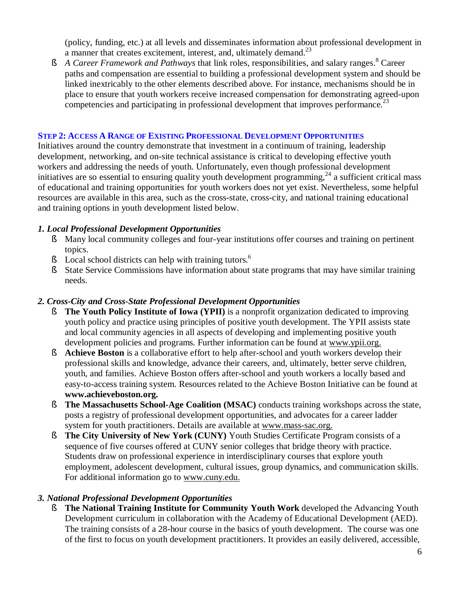(policy, funding, etc.) at all levels and disseminates information about professional development in a manner that creates excitement, interest, and, ultimately demand.<sup>23</sup>

§ A Career Framework and Pathways that link roles, responsibilities, and salary ranges.<sup>8</sup> Career paths and compensation are essential to building a professional development system and should be linked inextricably to the other elements described above. For instance, mechanisms should be in place to ensure that youth workers receive increased compensation for demonstrating agreed-upon competencies and participating in professional development that improves performance.<sup>23</sup>

## **STEP 2: ACCESS A RANGE OF EXISTING PROFESSIONAL DEVELOPMENT OPPORTUNITIES**

Initiatives around the country demonstrate that investment in a continuum of training, leadership development, networking, and on-site technical assistance is critical to developing effective youth workers and addressing the needs of youth. Unfortunately, even though professional development initiatives are so essential to ensuring quality youth development programming, $^{24}$  a sufficient critical mass of educational and training opportunities for youth workers does not yet exist. Nevertheless, some helpful resources are available in this area, such as the cross-state, cross-city, and national training educational and training options in youth development listed below.

## *1. Local Professional Development Opportunities*

- § Many local community colleges and four-year institutions offer courses and training on pertinent topics.
- § Local school districts can help with training tutors.<sup>6</sup>
- § State Service Commissions have information about state programs that may have similar training needs.

## *2. Cross-City and Cross-State Professional Development Opportunities*

- § **The Youth Policy Institute of Iowa (YPII)** is a nonprofit organization dedicated to improving youth policy and practice using principles of positive youth development. The YPII assists state and local community agencies in all aspects of developing and implementing positive youth development policies and programs. Further information can be found at [www.ypii.org.](http://www.ypii.org.)
- § **Achieve Boston** is a collaborative effort to help after-school and youth workers develop their professional skills and knowledge, advance their careers, and, ultimately, better serve children, youth, and families. Achieve Boston offers after-school and youth workers a locally based and easy-to-access training system. Resources related to the Achieve Boston Initiative can be found at **[www.achieveboston.org.](http://www.achieveboston.org.)**
- § **The Massachusetts School-Age Coalition (MSAC)** conducts training workshops across the state, posts a registry of professional development opportunities, and advocates for a career ladder system for youth practitioners. Details are available at [www.mass-sac.org.](http://www.mass-sac.org.)
- § **The City University of New York (CUNY)** Youth Studies Certificate Program consists of a sequence of five courses offered at CUNY senior colleges that bridge theory with practice. Students draw on professional experience in interdisciplinary courses that explore youth employment, adolescent development, cultural issues, group dynamics, and communication skills. For additional information go to [www.cuny.edu.](http://www.cuny.edu.)

## *3. National Professional Development Opportunities*

§ **The National Training Institute for Community Youth Work** developed the Advancing Youth Development curriculum in collaboration with the Academy of Educational Development (AED). The training consists of a 28-hour course in the basics of youth development. The course was one of the first to focus on youth development practitioners. It provides an easily delivered, accessible,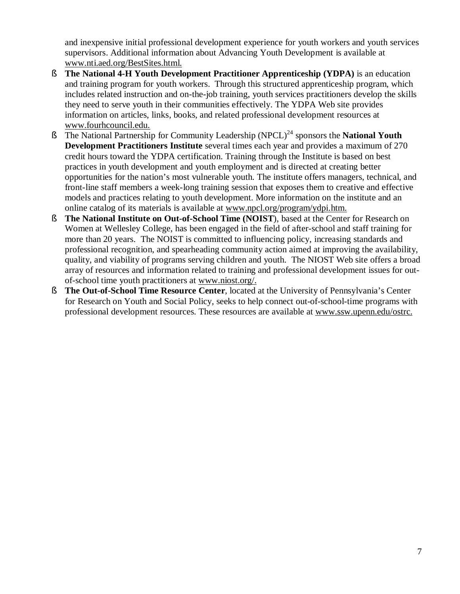and inexpensive initial professional development experience for youth workers and youth services supervisors. Additional information about Advancing Youth Development is available at [www.nti.aed.org/BestSites.html.](http://www.nti.aed.org/BestSites.html.)

- § **The National 4-H Youth Development Practitioner Apprenticeship (YDPA)** is an education and training program for youth workers. Through this structured apprenticeship program, which includes related instruction and on-the-job training, youth services practitioners develop the skills they need to serve youth in their communities effectively. The YDPA Web site provides information on articles, links, books, and related professional development resources at [www.fourhcouncil.edu.](http://www.fourhcouncil.edu.)
- § The National Partnership for Community Leadership (NPCL)<sup>24</sup> sponsors the **National Youth Development Practitioners Institute** several times each year and provides a maximum of 270 credit hours toward the YDPA certification. Training through the Institute is based on best practices in youth development and youth employment and is directed at creating better opportunities for the nation's most vulnerable youth. The institute offers managers, technical, and front-line staff members a week-long training session that exposes them to creative and effective models and practices relating to youth development. More information on the institute and an online catalog of its materials is available at [www.npcl.org/program/ydpi.htm.](http://www.npcl.org/program/ydpi.htm.)
- § **The National Institute on Out-of-School Time (NOIST**), based at the Center for Research on Women at Wellesley College, has been engaged in the field of after-school and staff training for more than 20 years. The NOIST is committed to influencing policy, increasing standards and professional recognition, and spearheading community action aimed at improving the availability, quality, and viability of programs serving children and youth. The NIOST Web site offers a broad array of resources and information related to training and professional development issues for outof-school time youth practitioners at [www.niost.org/.](http://www.niost.org/.)
- § **The Out-of-School Time Resource Center**, located at the University of Pennsylvania's Center for Research on Youth and Social Policy, seeks to help connect out-of-school-time programs with professional development resources. These resources are available at [www.ssw.upenn.edu/ostrc.](http://www.ssw.upenn.edu/ostrc.)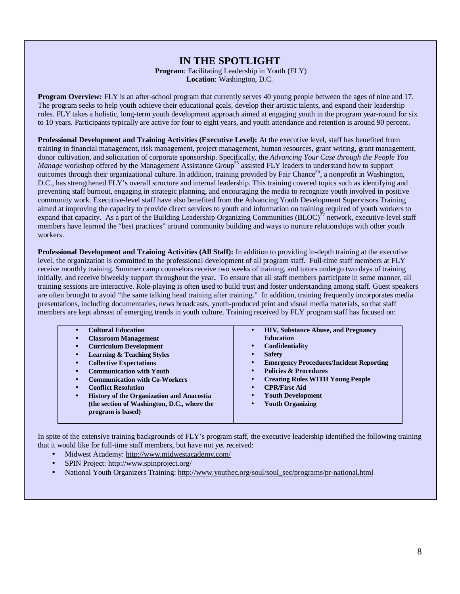# **IN THE SPOTLIGHT**

**Program**: Facilitating Leadership in Youth (FLY) **Location**: Washington, D.C.

**Program Overview:** FLY is an after-school program that currently serves 40 young people between the ages of nine and 17. The program seeks to help youth achieve their educational goals, develop their artistic talents, and expand their leadership roles. FLY takes a holistic, long-term youth development approach aimed at engaging youth in the program year-round for six to 10 years. Participants typically are active for four to eight years, and youth attendance and retention is around 90 percent.

**Professional Development and Training Activities (Executive Level):** At the executive level, staff has benefited from training in financial management, risk management, project management, human resources, grant writing, grant management, donor cultivation, and solicitation of corporate sponsorship. Specifically, the *Advancing Your Case through the People You Manage* workshop offered by the Management Assistance Group<sup>25</sup> assisted FLY leaders to understand how to support outcomes through their organizational culture. In addition, training provided by Fair Chance<sup>26</sup>, a nonprofit in Washington, D.C., has strengthened FLY's overall structure and internal leadership. This training covered topics such as identifying and preventing staff burnout, engaging in strategic planning, and encouraging the media to recognize youth involved in positive community work. Executive-level staff have also benefited from the Advancing Youth Development Supervisors Training aimed at improving the capacity to provide direct services to youth and information on training required of youth workers to expand that capacity. As a part of the Building Leadership Organizing Communities  $(BLOC)^{27}$  network, executive-level staff members have learned the "best practices" around community building and ways to nurture relationships with other youth workers.

**Professional Development and Training Activities (All Staff):** In addition to providing in-depth training at the executive level, the organization is committed to the professional development of all program staff. Full-time staff members at FLY receive monthly training. Summer camp counselors receive two weeks of training, and tutors undergo two days of training initially, and receive biweekly support throughout the year**.** To ensure that all staff members participate in some manner, all training sessions are interactive. Role-playing is often used to build trust and foster understanding among staff. Guest speakers are often brought to avoid "the same talking head training after training." In addition, training frequently incorporates media presentations, including documentaries, news broadcasts, youth-produced print and visual media materials, so that staff members are kept abreast of emerging trends in youth culture. Training received by FLY program staff has focused on:

| <b>Cultural Education</b>                              | <b>HIV, Substance Abuse, and Pregnancy</b><br>$\bullet$     |
|--------------------------------------------------------|-------------------------------------------------------------|
| <b>Classroom Management</b>                            | <b>Education</b>                                            |
| <b>Curriculum Development</b>                          | Confidentiality<br>$\bullet$                                |
| <b>Learning &amp; Teaching Styles</b>                  | <b>Safety</b>                                               |
| <b>Collective Expectations</b>                         | <b>Emergency Procedures/Incident Reporting</b><br>$\bullet$ |
| <b>Communication with Youth</b>                        | <b>Policies &amp; Procedures</b><br>$\bullet$               |
| <b>Communication with Co-Workers</b>                   | <b>Creating Rules WITH Young People</b><br>$\bullet$        |
| <b>Conflict Resolution</b>                             | <b>CPR/First Aid</b><br>$\bullet$                           |
| History of the Organization and Anacostia<br>$\bullet$ | <b>Youth Development</b><br>$\bullet$                       |
| (the section of Washington, D.C., where the            | <b>Youth Organizing</b><br>$\bullet$                        |
| program is based)                                      |                                                             |
|                                                        |                                                             |

In spite of the extensive training backgrounds of FLY's program staff, the executive leadership identified the following training that it would like for full-time staff members, but have not yet received:

- Midwest Academy:<http://www.midwestacademy.com/>
- SPIN Project:<http://www.spinproject.org/>
- National Youth Organizers Training: [http://www.youthec.org/soul/soul\\_sec/programs/pr-national.html](http://www.youthec.org/soul/soul_sec/programs/pr-national.html)